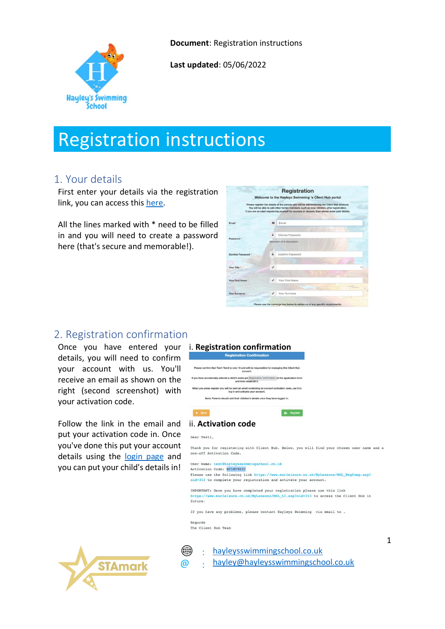

**Document**: Registration instructions

**Last updated**: 05/06/2022

# Registration instructions

## 1. Your details

First enter your details via the registration link, you can access this [here.](https://morleisure.co.uk/MyLessons/MSL_Registration.asp?oid=353)

All the lines marked with \* need to be filled in and you will need to create a password here (that's secure and memorable!).

|                  |   | Welcome to the Hayleys Swimming 's Client Hub portal                                                                                                                                                                                                                                        |
|------------------|---|---------------------------------------------------------------------------------------------------------------------------------------------------------------------------------------------------------------------------------------------------------------------------------------------|
|                  |   | Please register the details of the person who will be administering the Client Hub account.<br>You will be able to add other family members, such as your children, after registration.<br>If you are an adult registering yourself for courses or classes, then please enter your details. |
| Email*           | 器 | Email                                                                                                                                                                                                                                                                                       |
| Password *       | € | Choose Password                                                                                                                                                                                                                                                                             |
|                  |   | Minimum of 6 characters                                                                                                                                                                                                                                                                     |
| Confirm Password | £ | Confirm Password                                                                                                                                                                                                                                                                            |
| Your Title *     | v |                                                                                                                                                                                                                                                                                             |
|                  |   |                                                                                                                                                                                                                                                                                             |
| Your First Name  |   | Your First Name                                                                                                                                                                                                                                                                             |
|                  | ◢ | Your Surname                                                                                                                                                                                                                                                                                |
| Your Surname."   |   |                                                                                                                                                                                                                                                                                             |

## 2. Registration confirmation

Once you have entered your i. **Registration confirmation** details, you will need to confirm your account with us. You'll receive an email as shown on the right (second screenshot) with your activation code.

Follow the link in the email and put your activation code in. Once you've done this put your account details using the [login page](https://morleisure.co.uk/MyLessons/MSL_Li.asp?oid=353) and you can put your child's details in!



## **Registration Confirmation**



#### ii. **Activation code**

#### Dear Testl.

Thank you for registering with Client Hub, Below, you will find your chosen user name and a one-off Activation Code.

User Name: test@hay] mmingschool.co.uk Activation Code: BC58F9E30 Please use the following link https://www.morleisure.co.uk/MyLessons/MSL\_RegComp.asp? oid=353 to complete your registration and activate your account. IMPORTANT: Once you have completed your registration please use this link https://www.morleisure.co.uk/MyLessons/MSL LI.asp?oid=353 to access the Client Hub in future.

If you have any problems, please contact Hayleys Swimming via email to.

Regards The Client Hub Team

@

⊕ : : [hayleysswimmingschool.co.uk](http://www.hayleysswimmingschool.co.uk/) [hayley@hayleysswimmingschool.co.uk](mailto:hayley@hayleysswimmingschool.co.uk?subject=SwimSoft%20Registration%20instructions)